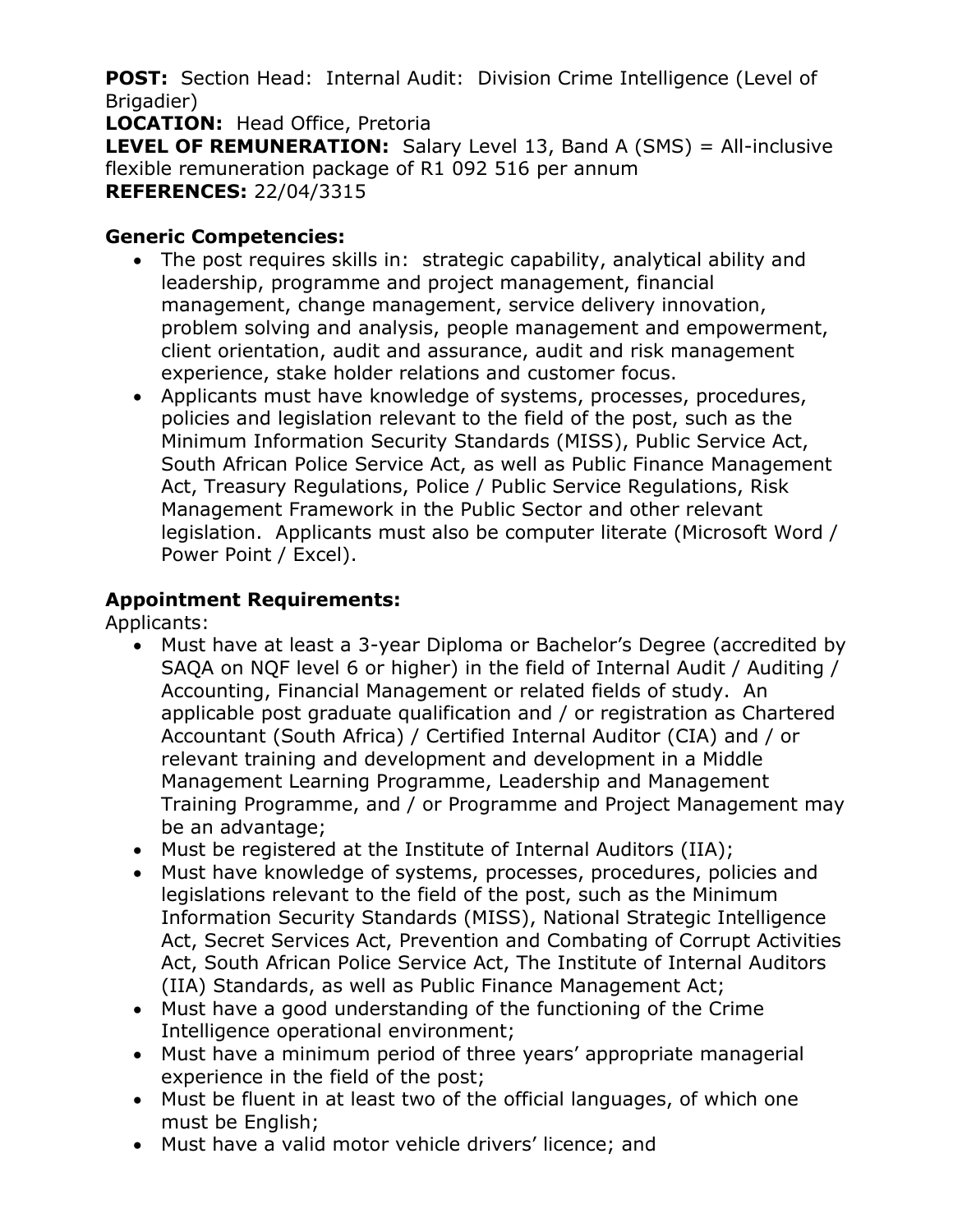**POST:** Section Head: Internal Audit: Division Crime Intelligence (Level of Brigadier)

**LOCATION:** Head Office, Pretoria

**LEVEL OF REMUNERATION:** Salary Level 13, Band A (SMS) = All-inclusive flexible remuneration package of R1 092 516 per annum **REFERENCES:** 22/04/3315

#### **Generic Competencies:**

- The post requires skills in: strategic capability, analytical ability and leadership, programme and project management, financial management, change management, service delivery innovation, problem solving and analysis, people management and empowerment, client orientation, audit and assurance, audit and risk management experience, stake holder relations and customer focus.
- Applicants must have knowledge of systems, processes, procedures, policies and legislation relevant to the field of the post, such as the Minimum Information Security Standards (MISS), Public Service Act, South African Police Service Act, as well as Public Finance Management Act, Treasury Regulations, Police / Public Service Regulations, Risk Management Framework in the Public Sector and other relevant legislation. Applicants must also be computer literate (Microsoft Word / Power Point / Excel).

## **Appointment Requirements:**

Applicants:

- Must have at least a 3-year Diploma or Bachelor's Degree (accredited by SAQA on NQF level 6 or higher) in the field of Internal Audit / Auditing / Accounting, Financial Management or related fields of study. An applicable post graduate qualification and / or registration as Chartered Accountant (South Africa) / Certified Internal Auditor (CIA) and / or relevant training and development and development in a Middle Management Learning Programme, Leadership and Management Training Programme, and / or Programme and Project Management may be an advantage;
- Must be registered at the Institute of Internal Auditors (IIA);
- Must have knowledge of systems, processes, procedures, policies and legislations relevant to the field of the post, such as the Minimum Information Security Standards (MISS), National Strategic Intelligence Act, Secret Services Act, Prevention and Combating of Corrupt Activities Act, South African Police Service Act, The Institute of Internal Auditors (IIA) Standards, as well as Public Finance Management Act;
- Must have a good understanding of the functioning of the Crime Intelligence operational environment;
- Must have a minimum period of three years' appropriate managerial experience in the field of the post;
- Must be fluent in at least two of the official languages, of which one must be English;
- Must have a valid motor vehicle drivers' licence; and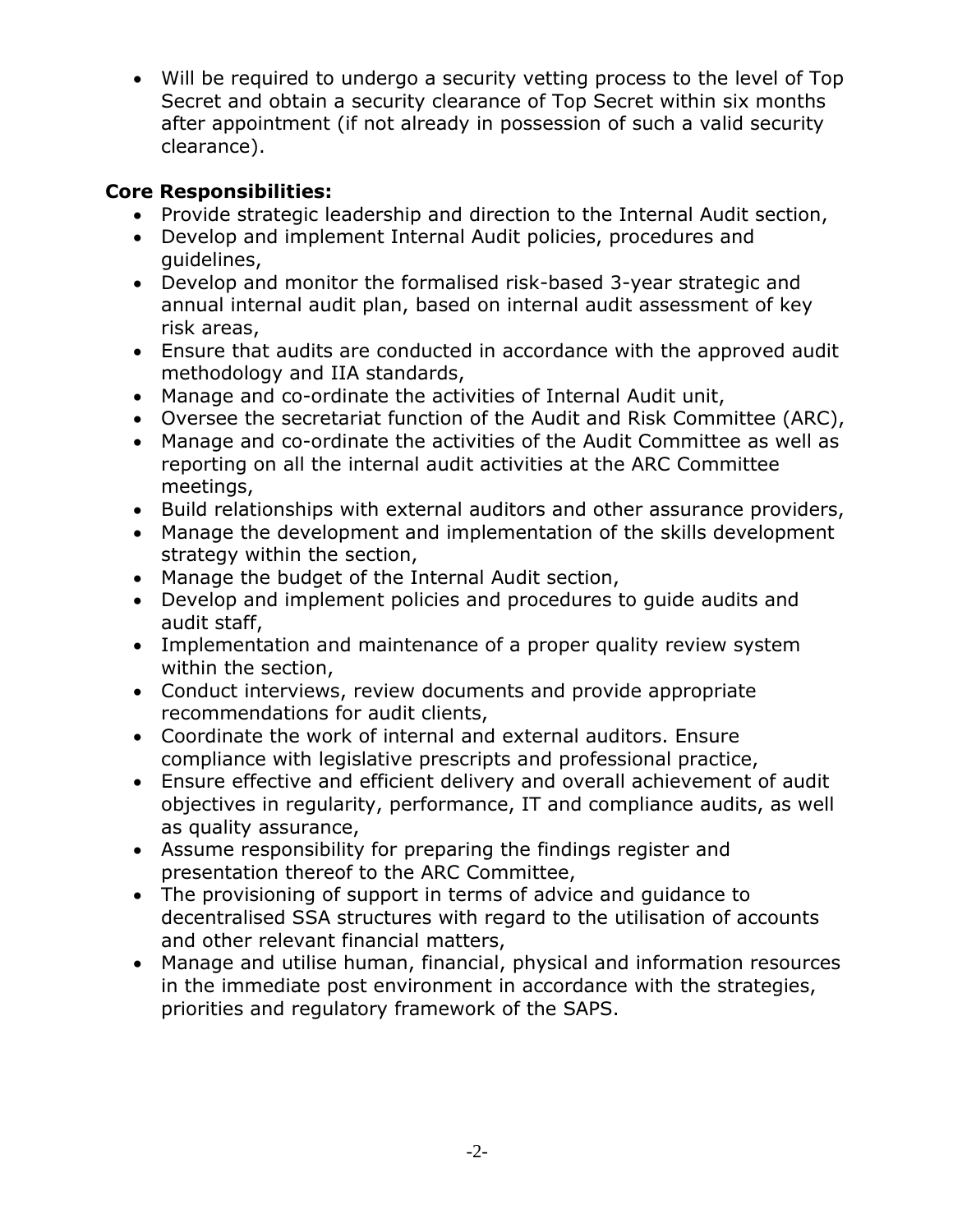Will be required to undergo a security vetting process to the level of Top Secret and obtain a security clearance of Top Secret within six months after appointment (if not already in possession of such a valid security clearance).

### **Core Responsibilities:**

- Provide strategic leadership and direction to the Internal Audit section,
- Develop and implement Internal Audit policies, procedures and guidelines,
- Develop and monitor the formalised risk-based 3-year strategic and annual internal audit plan, based on internal audit assessment of key risk areas,
- Ensure that audits are conducted in accordance with the approved audit methodology and IIA standards,
- Manage and co-ordinate the activities of Internal Audit unit,
- Oversee the secretariat function of the Audit and Risk Committee (ARC),
- Manage and co-ordinate the activities of the Audit Committee as well as reporting on all the internal audit activities at the ARC Committee meetings,
- Build relationships with external auditors and other assurance providers,
- Manage the development and implementation of the skills development strategy within the section,
- Manage the budget of the Internal Audit section,
- Develop and implement policies and procedures to guide audits and audit staff,
- Implementation and maintenance of a proper quality review system within the section,
- Conduct interviews, review documents and provide appropriate recommendations for audit clients,
- Coordinate the work of internal and external auditors. Ensure compliance with legislative prescripts and professional practice,
- Ensure effective and efficient delivery and overall achievement of audit objectives in regularity, performance, IT and compliance audits, as well as quality assurance,
- Assume responsibility for preparing the findings register and presentation thereof to the ARC Committee,
- The provisioning of support in terms of advice and guidance to decentralised SSA structures with regard to the utilisation of accounts and other relevant financial matters,
- Manage and utilise human, financial, physical and information resources in the immediate post environment in accordance with the strategies, priorities and regulatory framework of the SAPS.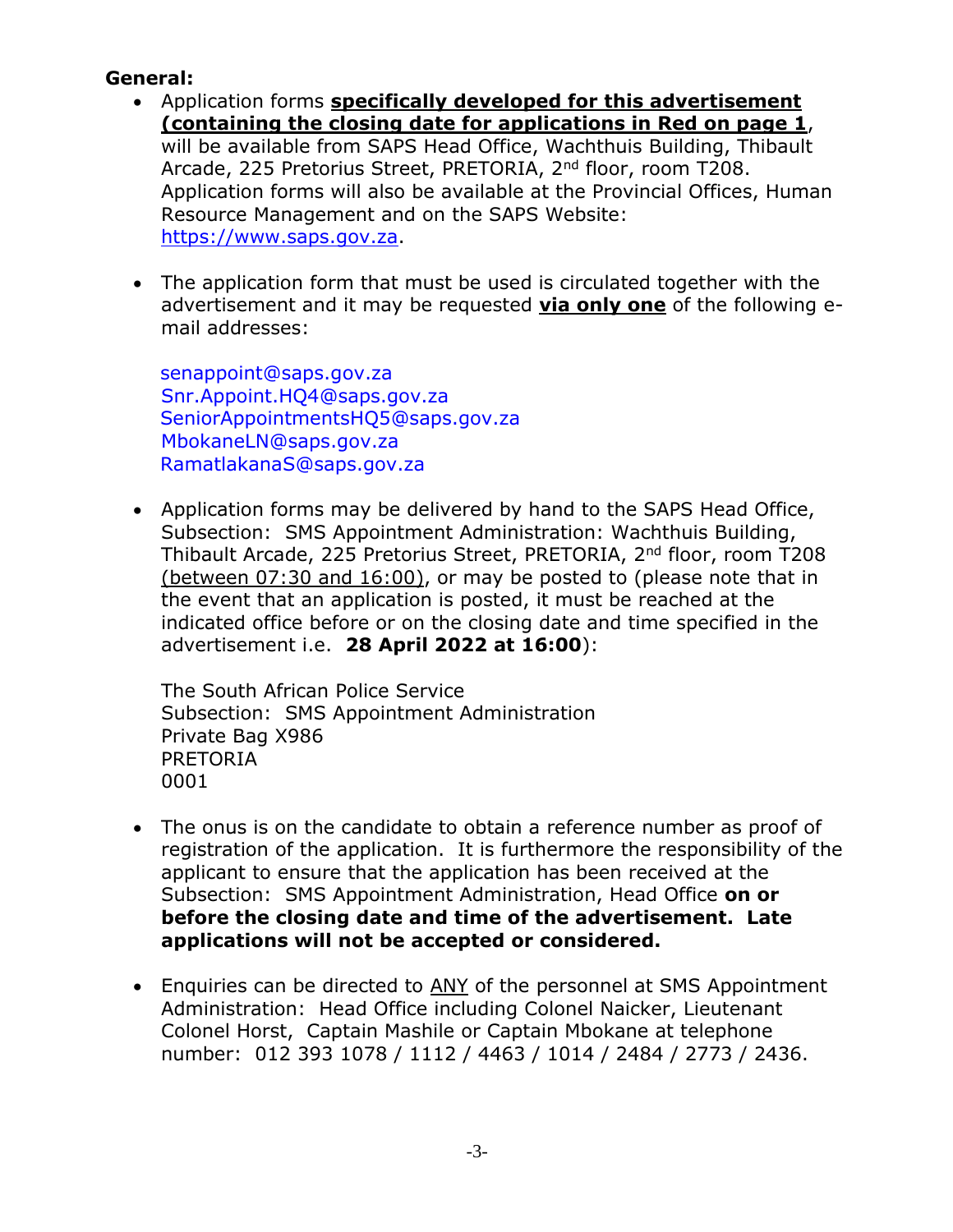#### **General:**

- Application forms **specifically developed for this advertisement (containing the closing date for applications in Red on page 1**, will be available from SAPS Head Office, Wachthuis Building, Thibault Arcade, 225 Pretorius Street, PRETORIA, 2<sup>nd</sup> floor, room T208. Application forms will also be available at the Provincial Offices, Human Resource Management and on the SAPS Website: [https://www.saps.gov.za.](https://www.saps.gov.za/)
- The application form that must be used is circulated together with the advertisement and it may be requested **via only one** of the following email addresses:

[senappoint@saps.gov.za](mailto:senappoint@saps.gov.za) [Snr.Appoint.HQ4@saps.gov.za](mailto:Snr.Appoint.HQ4@saps.gov.za) [SeniorAppointmentsHQ5@saps.gov.za](mailto:SeniorAppointmentsHQ5@saps.gov.za) MbokaneLN@saps.gov.za [RamatlakanaS@saps.gov.za](mailto:RamatlakanaS@saps.gov.za)

 Application forms may be delivered by hand to the SAPS Head Office, Subsection: SMS Appointment Administration: Wachthuis Building, Thibault Arcade, 225 Pretorius Street, PRETORIA, 2nd floor, room T208 (between 07:30 and 16:00), or may be posted to (please note that in the event that an application is posted, it must be reached at the indicated office before or on the closing date and time specified in the advertisement i.e. **28 April 2022 at 16:00**):

The South African Police Service Subsection: SMS Appointment Administration Private Bag X986 PRETORIA 0001

- The onus is on the candidate to obtain a reference number as proof of registration of the application. It is furthermore the responsibility of the applicant to ensure that the application has been received at the Subsection: SMS Appointment Administration, Head Office **on or before the closing date and time of the advertisement. Late applications will not be accepted or considered.**
- Enquiries can be directed to ANY of the personnel at SMS Appointment Administration: Head Office including Colonel Naicker, Lieutenant Colonel Horst, Captain Mashile or Captain Mbokane at telephone number: 012 393 1078 / 1112 / 4463 / 1014 / 2484 / 2773 / 2436.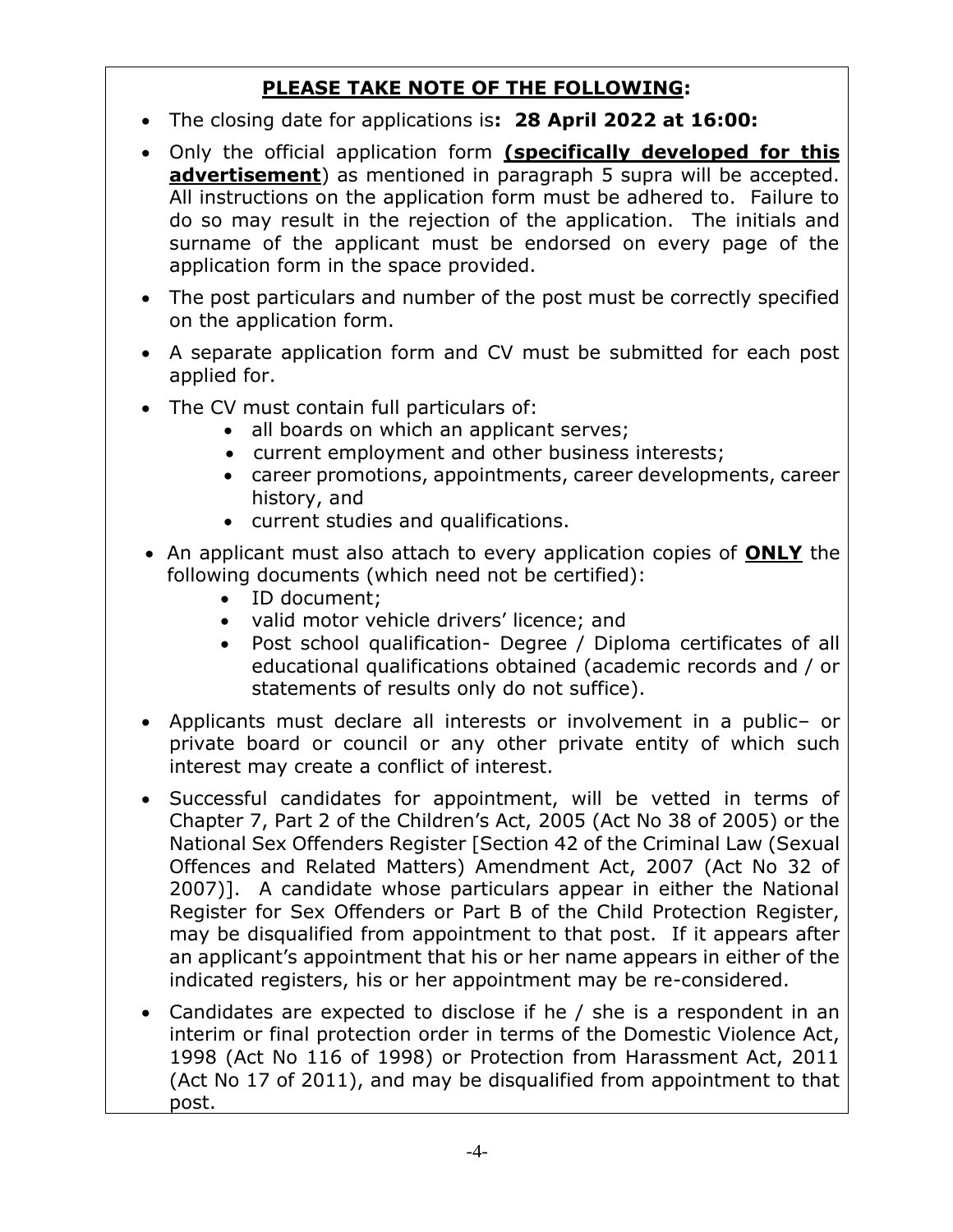# **PLEASE TAKE NOTE OF THE FOLLOWING:**

- The closing date for applications is**: 28 April 2022 at 16:00:**
- Only the official application form **(specifically developed for this advertisement**) as mentioned in paragraph 5 supra will be accepted. All instructions on the application form must be adhered to. Failure to do so may result in the rejection of the application. The initials and surname of the applicant must be endorsed on every page of the application form in the space provided.
- The post particulars and number of the post must be correctly specified on the application form.
- A separate application form and CV must be submitted for each post applied for.
- The CV must contain full particulars of:
	- all boards on which an applicant serves;
	- current employment and other business interests;
	- career promotions, appointments, career developments, career history, and
	- current studies and qualifications.
- An applicant must also attach to every application copies of **ONLY** the following documents (which need not be certified):
	- ID document;
	- valid motor vehicle drivers' licence; and
	- Post school qualification- Degree / Diploma certificates of all educational qualifications obtained (academic records and / or statements of results only do not suffice).
- Applicants must declare all interests or involvement in a public– or private board or council or any other private entity of which such interest may create a conflict of interest.
- Successful candidates for appointment, will be vetted in terms of Chapter 7, Part 2 of the Children's Act, 2005 (Act No 38 of 2005) or the National Sex Offenders Register [Section 42 of the Criminal Law (Sexual Offences and Related Matters) Amendment Act, 2007 (Act No 32 of 2007)]. A candidate whose particulars appear in either the National Register for Sex Offenders or Part B of the Child Protection Register, may be disqualified from appointment to that post. If it appears after an applicant's appointment that his or her name appears in either of the indicated registers, his or her appointment may be re-considered.
- Candidates are expected to disclose if he / she is a respondent in an interim or final protection order in terms of the Domestic Violence Act, 1998 (Act No 116 of 1998) or Protection from Harassment Act, 2011 (Act No 17 of 2011), and may be disqualified from appointment to that post.